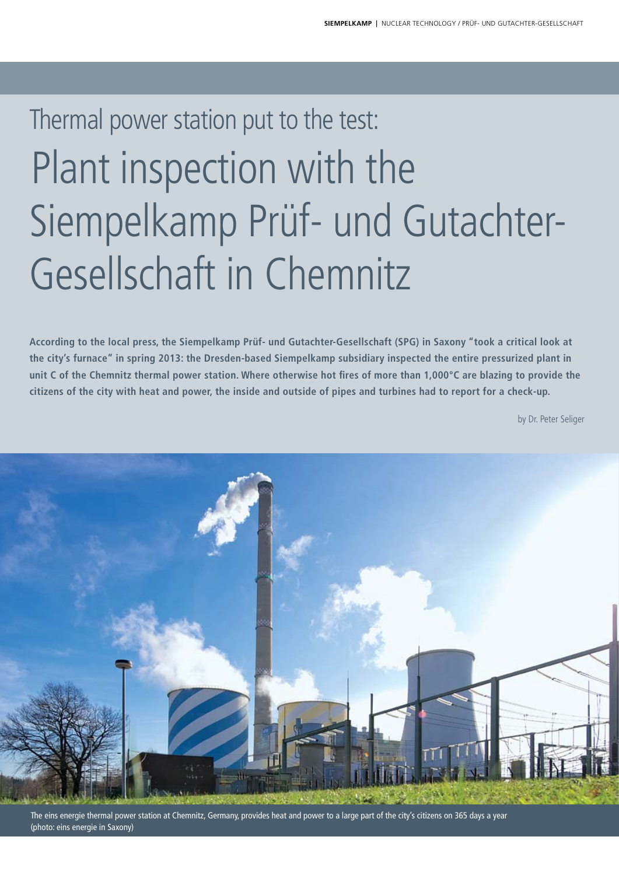# Thermal power station put to the test: Plant inspection with the Siempelkamp Prüf- und Gutachter-Gesellschaft in Chemnitz

**According to the local press, the Siempelkamp Prüf- und Gutachter-Gesellschaft (SPG) in Saxony "took a critical look at the city's furnace" in spring 2013: the Dresden-based Siempelkamp subsidiary inspected the entire pressurized plant in unit C of the Chemnitz thermal power station. Where otherwise hot fires of more than 1,000°C are blazing to provide the citizens of the city with heat and power, the inside and outside of pipes and turbines had to report for a check-up.**

by Dr. Peter Seliger



The eins energie thermal power station at Chemnitz, Germany, provides heat and power to a large part of the city's citizens on 365 days a year (photo: eins energie in Saxony)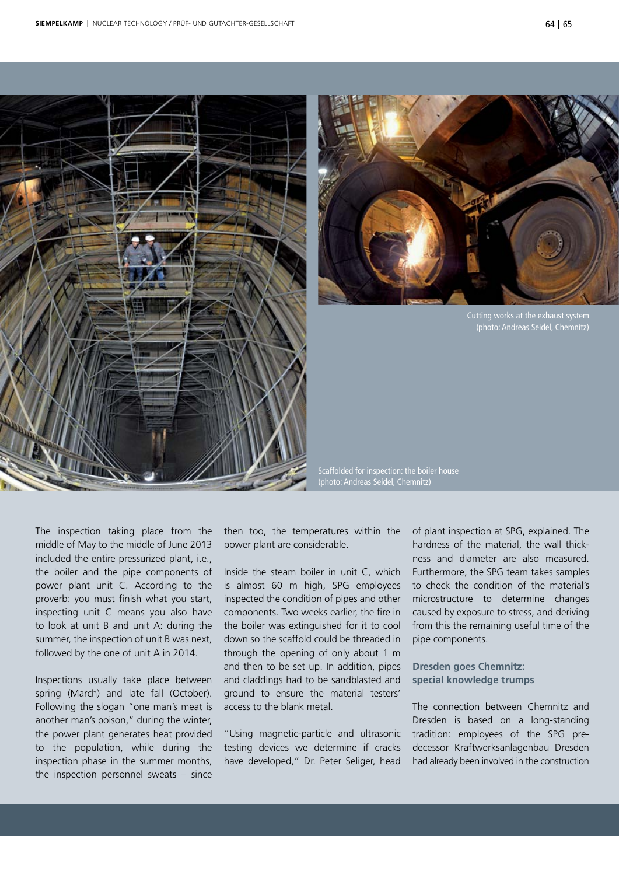



Cutting works at the exhaust system (photo: Andreas Seidel, Chemnitz)

Scaffolded for inspection: the boiler house (photo: Andreas Seidel, Chemnitz)

The inspection taking place from the middle of May to the middle of June 2013 included the entire pressurized plant, i.e., the boiler and the pipe components of power plant unit C. According to the proverb: you must finish what you start, inspecting unit C means you also have to look at unit B and unit A: during the summer, the inspection of unit B was next, followed by the one of unit A in 2014.

Inspections usually take place between spring (March) and late fall (October). Following the slogan "one man's meat is another man's poison," during the winter, the power plant generates heat provided to the population, while during the inspection phase in the summer months, the inspection personnel sweats – since

then too, the temperatures within the power plant are considerable.

Inside the steam boiler in unit C, which is almost 60 m high, SPG employees inspected the condition of pipes and other components. Two weeks earlier, the fire in the boiler was extinguished for it to cool down so the scaffold could be threaded in through the opening of only about 1 m and then to be set up. In addition, pipes and claddings had to be sandblasted and ground to ensure the material testers' access to the blank metal.

"Using magnetic-particle and ultrasonic testing devices we determine if cracks have developed," Dr. Peter Seliger, head

of plant inspection at SPG, explained. The hardness of the material, the wall thickness and diameter are also measured. Furthermore, the SPG team takes samples to check the condition of the material's microstructure to determine changes caused by exposure to stress, and deriving from this the remaining useful time of the pipe components.

**Dresden goes Chemnitz: special knowledge trumps**

The connection between Chemnitz and Dresden is based on a long-standing tradition: employees of the SPG predecessor Kraftwerksanlagenbau Dresden had already been involved in the construction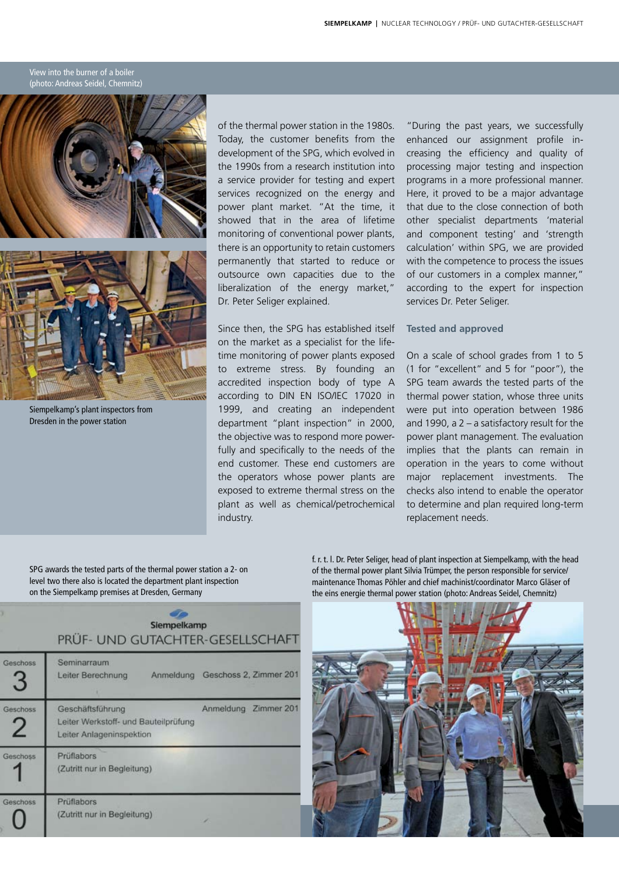#### View into the burner of a boiler (photo: Andreas Seidel, Chemnitz)



Siempelkamp's plant inspectors from Dresden in the power station

of the thermal power station in the 1980s. Today, the customer benefits from the development of the SPG, which evolved in the 1990s from a research institution into a service provider for testing and expert services recognized on the energy and power plant market. "At the time, it showed that in the area of lifetime monitoring of conventional power plants, there is an opportunity to retain customers permanently that started to reduce or outsource own capacities due to the liberalization of the energy market," Dr. Peter Seliger explained.

Since then, the SPG has established itself on the market as a specialist for the lifetime monitoring of power plants exposed to extreme stress. By founding an accredited inspection body of type A according to DIN EN ISO/IEC 17020 in 1999, and creating an independent department "plant inspection" in 2000, the objective was to respond more powerfully and specifically to the needs of the end customer. These end customers are the operators whose power plants are exposed to extreme thermal stress on the plant as well as chemical/petrochemical industry.

"During the past years, we successfully enhanced our assignment profile increasing the efficiency and quality of processing major testing and inspection programs in a more professional manner. Here, it proved to be a major advantage that due to the close connection of both other specialist departments 'material and component testing' and 'strength calculation' within SPG, we are provided with the competence to process the issues of our customers in a complex manner," according to the expert for inspection services Dr. Peter Seliger.

#### **Tested and approved**

On a scale of school grades from 1 to 5 (1 for "excellent" and 5 for "poor"), the SPG team awards the tested parts of the thermal power station, whose three units were put into operation between 1986 and 1990, a 2 – a satisfactory result for the power plant management. The evaluation implies that the plants can remain in operation in the years to come without major replacement investments. The checks also intend to enable the operator to determine and plan required long-term replacement needs.

SPG awards the tested parts of the thermal power station a 2- on level two there also is located the department plant inspection on the Siempelkamp premises at Dresden, Germany

| Siempelkamp<br>PRÜF- UND GUTACHTER-GESELLSCHAFT |                                                                                      |                                  |  |
|-------------------------------------------------|--------------------------------------------------------------------------------------|----------------------------------|--|
| eschoss<br>3                                    | Seminarraum<br>Leiter Berechnung                                                     | Anmeldung Geschoss 2, Zimmer 201 |  |
| eschoss                                         | Geschäftsführung<br>Leiter Werkstoff- und Bauteilprüfung<br>Leiter Anlageninspektion | Anmeldung Zimmer 201             |  |
| eschoss                                         | Prüflabors<br>(Zutritt nur in Begleitung)                                            |                                  |  |
| eschoss                                         | Prüflabors<br>(Zutritt nur in Begleitung)                                            |                                  |  |

f. r. t. l. Dr. Peter Seliger, head of plant inspection at Siempelkamp, with the head of the thermal power plant Silvia Trümper, the person responsible for service/ maintenance Thomas Pöhler and chief machinist/coordinator Marco Gläser of the eins energie thermal power station (photo: Andreas Seidel, Chemnitz)

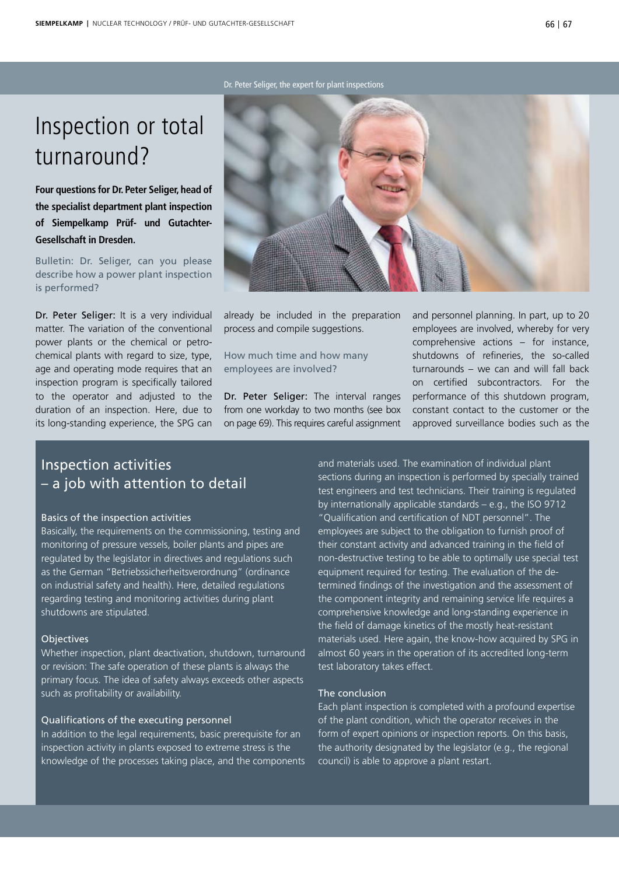#### Dr. Peter Seliger, the expert for plant inspections

# Inspection or total turnaround?

**Four questions for Dr. Peter Seliger, head of the specialist department plant inspection of Siempelkamp Prüf- und Gutachter-Gesellschaft in Dresden.**

Bulletin: Dr. Seliger, can you please describe how a power plant inspection is performed?

Dr. Peter Seliger: It is a very individual matter. The variation of the conventional power plants or the chemical or petrochemical plants with regard to size, type, age and operating mode requires that an inspection program is specifically tailored to the operator and adjusted to the duration of an inspection. Here, due to its long-standing experience, the SPG can



already be included in the preparation process and compile suggestions.

How much time and how many employees are involved?

Dr. Peter Seliger: The interval ranges from one workday to two months (see box on page 69). This requires careful assignment and personnel planning. In part, up to 20 employees are involved, whereby for very comprehensive actions – for instance, shutdowns of refineries, the so-called turnarounds – we can and will fall back on certified subcontractors. For the performance of this shutdown program, constant contact to the customer or the approved surveillance bodies such as the

### Inspection activities – a job with attention to detail

#### Basics of the inspection activities

Basically, the requirements on the commissioning, testing and monitoring of pressure vessels, boiler plants and pipes are regulated by the legislator in directives and regulations such as the German "Betriebssicherheitsverordnung" (ordinance on industrial safety and health). Here, detailed regulations regarding testing and monitoring activities during plant shutdowns are stipulated.

#### **Objectives**

Whether inspection, plant deactivation, shutdown, turnaround or revision: The safe operation of these plants is always the primary focus. The idea of safety always exceeds other aspects such as profitability or availability.

#### Qualifications of the executing personnel

In addition to the legal requirements, basic prerequisite for an inspection activity in plants exposed to extreme stress is the knowledge of the processes taking place, and the components and materials used. The examination of individual plant sections during an inspection is performed by specially trained test engineers and test technicians. Their training is regulated by internationally applicable standards – e.g., the ISO 9712 "Qualification and certification of NDT personnel". The employees are subject to the obligation to furnish proof of their constant activity and advanced training in the field of non-destructive testing to be able to optimally use special test equipment required for testing. The evaluation of the determined findings of the investigation and the assessment of the component integrity and remaining service life requires a comprehensive knowledge and long-standing experience in the field of damage kinetics of the mostly heat-resistant materials used. Here again, the know-how acquired by SPG in almost 60 years in the operation of its accredited long-term test laboratory takes effect.

#### The conclusion

Each plant inspection is completed with a profound expertise of the plant condition, which the operator receives in the form of expert opinions or inspection reports. On this basis, the authority designated by the legislator (e.g., the regional council) is able to approve a plant restart.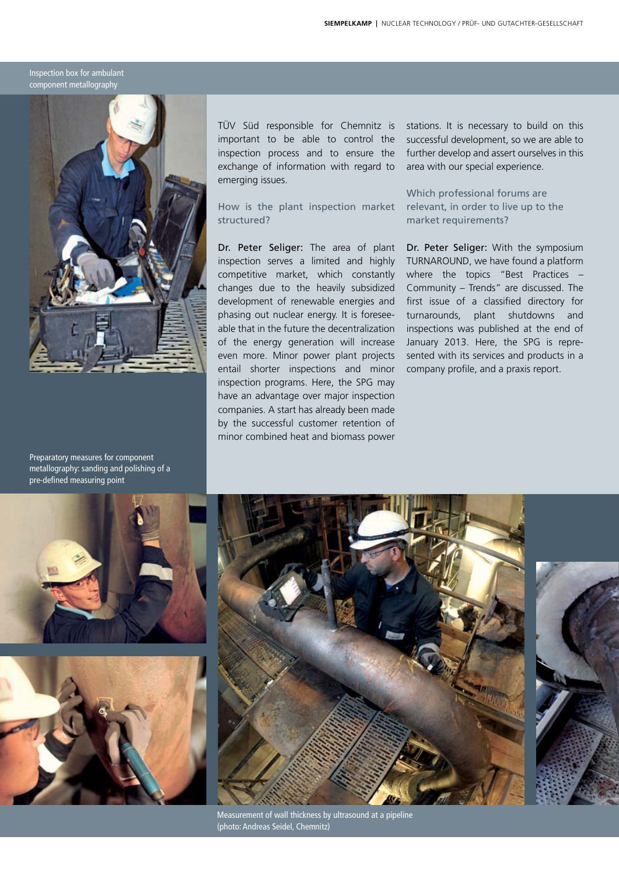Inspection box for ambulant component metallography



Preparatory measures for component metallography: sanding and polishing of a pre-defined measuring point

TÜV Süd responsible for Chemnitz is important to be able to control the inspection process and to ensure the exchange of information with regard to emerging issues.

How is the plant inspection market structured?

Dr. Peter Seliger: The area of plant inspection serves a limited and highly competitive market, which constantly changes due to the heavily subsidized development of renewable energies and phasing out nuclear energy. It is foreseeable that in the future the decentralization of the energy generation will increase even more. Minor power plant projects entail shorter inspections and minor inspection programs. Here, the SPG may have an advantage over major inspection companies. A start has already been made by the successful customer retention of minor combined heat and biomass power

stations. It is necessary to build on this successful development, so we are able to further develop and assert ourselves in this area with our special experience.

Which professional forums are relevant, in order to live up to the market requirements?

Dr. Peter Seliger: With the symposium TURNAROUND, we have found a platform where the topics "Best Practices – Community – Trends" are discussed. The first issue of a classified directory for turnarounds, plant shutdowns and inspections was published at the end of January 2013. Here, the SPG is represented with its services and products in a company profile, and a praxis report.







Measurement of wall thickness by ultrasound at a pipeline (photo: Andreas Seidel, Chemnitz)